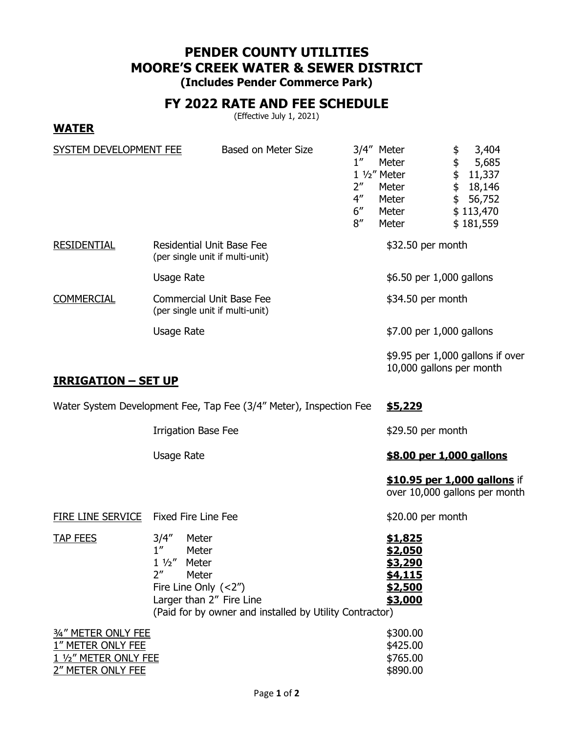# **PENDER COUNTY UTILITIES MOORE'S CREEK WATER & SEWER DISTRICT**

**(Includes Pender Commerce Park)**

## **FY 2022 RATE AND FEE SCHEDULE**

(Effective July 1, 2021)

### **WATER**

| SYSTEM DEVELOPMENT FEE     |                                                                     | Based on Meter Size | 1''<br>2"<br>$4^{\prime\prime}$<br>6''<br>8'' | 3/4" Meter<br>Meter<br>$1\frac{1}{2}$ " Meter<br>Meter<br>Meter<br>Meter<br>Meter | 3,404<br>\$<br>\$<br>5,685<br>\$<br>11,337<br>\$<br>18,146<br>\$<br>56,752<br>\$113,470<br>\$181,559 |
|----------------------------|---------------------------------------------------------------------|---------------------|-----------------------------------------------|-----------------------------------------------------------------------------------|------------------------------------------------------------------------------------------------------|
| <b>RESIDENTIAL</b>         | <b>Residential Unit Base Fee</b><br>(per single unit if multi-unit) |                     | \$32.50 per month                             |                                                                                   |                                                                                                      |
|                            | Usage Rate                                                          |                     |                                               | \$6.50 per 1,000 gallons                                                          |                                                                                                      |
| <b>COMMERCIAL</b>          | <b>Commercial Unit Base Fee</b><br>(per single unit if multi-unit)  |                     |                                               | \$34.50 per month                                                                 |                                                                                                      |
|                            | Usage Rate                                                          |                     |                                               | \$7.00 per 1,000 gallons                                                          |                                                                                                      |
| <b>IRRIGATION - SET UP</b> |                                                                     |                     |                                               | 10,000 gallons per month                                                          | \$9.95 per 1,000 gallons if over                                                                     |

Water System Development Fee, Tap Fee (3/4" Meter), Inspection Fee \$5,229

Irrigation Base Fee  $$29.50$  per month

Usage Rate **by Contract Contract Contract Contract S8.00 per 1,000 gallons** 

**\$10.95 per 1,000 gallons** if over 10,000 gallons per month

FIRE LINE SERVICE Fixed Fire Line Fee \$20.00 per month

TAP FEES 3/4" Meter **\$1,825** 1" Meter **\$2,050** 1 ½" Meter **\$3,290** 2" Meter **\$4,115** Fire Line Only (<2") **\$2,500** Larger than 2" Fire Line **\$3,000** 

(Paid for by owner and installed by Utility Contractor)

| 34" METER ONLY FEE    | \$300.00 |
|-----------------------|----------|
| 1" METER ONLY FEE     | \$425.00 |
| 1 1/2" METER ONLY FEE | \$765.00 |
| 2" METER ONLY FEE     | \$890.00 |